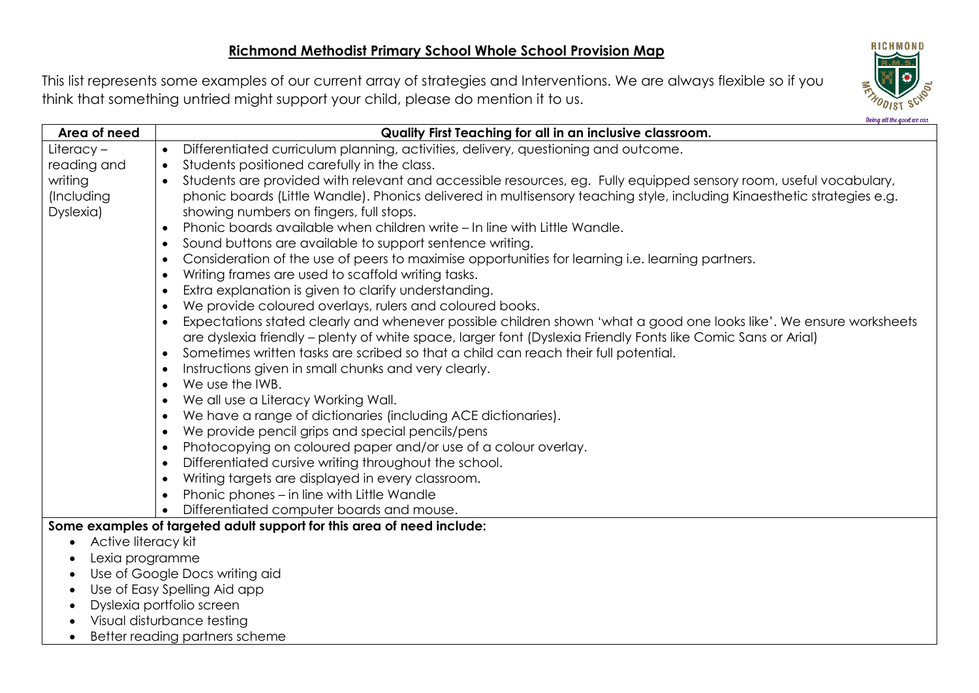This list represents some examples of our current array of strategies and Interventions. We are always flexible so if you think that something untried might support your child, please do mention it to us.



**Data and they** 

| Area of need                                                                                                                     | Quality First Teaching for all in an inclusive classroom.                                                                        |  |  |
|----------------------------------------------------------------------------------------------------------------------------------|----------------------------------------------------------------------------------------------------------------------------------|--|--|
| Literacy-                                                                                                                        | Differentiated curriculum planning, activities, delivery, questioning and outcome.<br>$\bullet$                                  |  |  |
| reading and                                                                                                                      | Students positioned carefully in the class.<br>$\bullet$                                                                         |  |  |
| writing                                                                                                                          | Students are provided with relevant and accessible resources, eg. Fully equipped sensory room, useful vocabulary,<br>$\bullet$   |  |  |
| (Including                                                                                                                       | phonic boards (Little Wandle). Phonics delivered in multisensory teaching style, including Kinaesthetic strategies e.g.          |  |  |
| Dyslexia)                                                                                                                        | showing numbers on fingers, full stops.                                                                                          |  |  |
|                                                                                                                                  | Phonic boards available when children write – In line with Little Wandle.<br>$\bullet$                                           |  |  |
|                                                                                                                                  | Sound buttons are available to support sentence writing.<br>$\bullet$                                                            |  |  |
|                                                                                                                                  | Consideration of the use of peers to maximise opportunities for learning i.e. learning partners.<br>$\bullet$                    |  |  |
|                                                                                                                                  | Writing frames are used to scaffold writing tasks.<br>$\bullet$                                                                  |  |  |
|                                                                                                                                  | Extra explanation is given to clarify understanding.<br>$\bullet$                                                                |  |  |
|                                                                                                                                  | We provide coloured overlays, rulers and coloured books.<br>$\bullet$                                                            |  |  |
|                                                                                                                                  | Expectations stated clearly and whenever possible children shown 'what a good one looks like'. We ensure worksheets<br>$\bullet$ |  |  |
|                                                                                                                                  | are dyslexia friendly – plenty of white space, larger font (Dyslexia Friendly Fonts like Comic Sans or Arial)                    |  |  |
|                                                                                                                                  | Sometimes written tasks are scribed so that a child can reach their full potential.<br>$\bullet$                                 |  |  |
|                                                                                                                                  | Instructions given in small chunks and very clearly.<br>$\bullet$                                                                |  |  |
|                                                                                                                                  | We use the IWB.<br>$\bullet$                                                                                                     |  |  |
|                                                                                                                                  | We all use a Literacy Working Wall.<br>$\bullet$                                                                                 |  |  |
|                                                                                                                                  | We have a range of dictionaries (including ACE dictionaries).<br>$\bullet$                                                       |  |  |
|                                                                                                                                  | We provide pencil grips and special pencils/pens<br>$\bullet$                                                                    |  |  |
|                                                                                                                                  | Photocopying on coloured paper and/or use of a colour overlay.<br>$\bullet$                                                      |  |  |
|                                                                                                                                  | Differentiated cursive writing throughout the school.<br>$\bullet$                                                               |  |  |
|                                                                                                                                  | Writing targets are displayed in every classroom.<br>$\bullet$                                                                   |  |  |
|                                                                                                                                  | Phonic phones – in line with Little Wandle<br>$\bullet$                                                                          |  |  |
| Differentiated computer boards and mouse.<br>$\bullet$<br>Some examples of targeted adult support for this area of need include: |                                                                                                                                  |  |  |
|                                                                                                                                  |                                                                                                                                  |  |  |
| Active literacy kit<br>$\bullet$                                                                                                 |                                                                                                                                  |  |  |
| Lexia programme<br>Use of Google Docs writing aid                                                                                |                                                                                                                                  |  |  |
| Use of Easy Spelling Aid app                                                                                                     |                                                                                                                                  |  |  |
| Dyslexia portfolio screen                                                                                                        |                                                                                                                                  |  |  |
| Visual disturbance testing                                                                                                       |                                                                                                                                  |  |  |
| Better reading partners scheme                                                                                                   |                                                                                                                                  |  |  |
|                                                                                                                                  |                                                                                                                                  |  |  |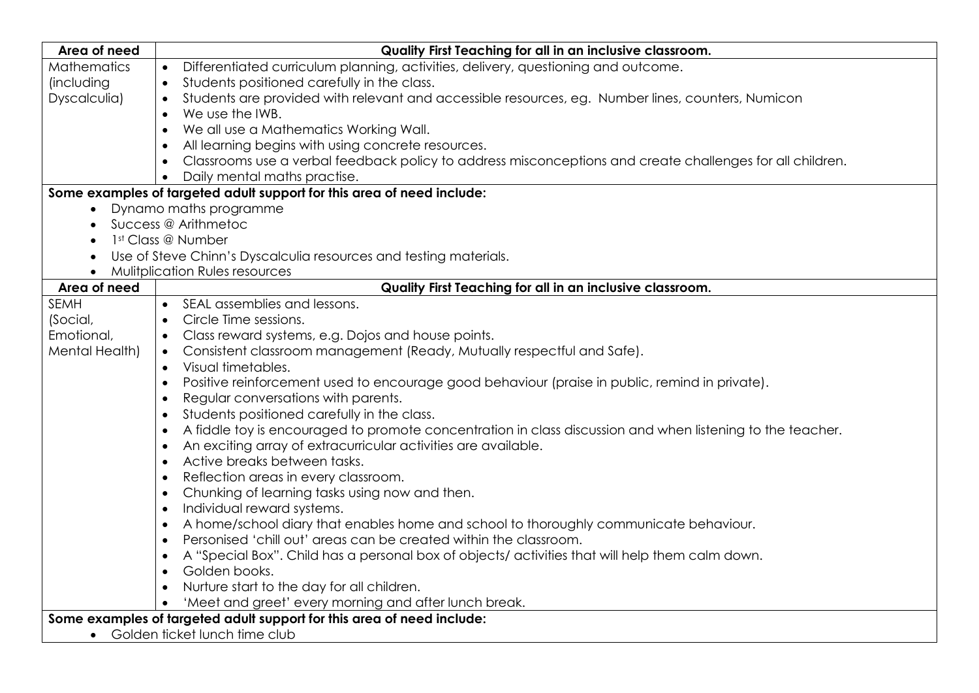| Area of need                                                           | Quality First Teaching for all in an inclusive classroom.                                                   |  |
|------------------------------------------------------------------------|-------------------------------------------------------------------------------------------------------------|--|
| <b>Mathematics</b>                                                     | Differentiated curriculum planning, activities, delivery, questioning and outcome.<br>$\bullet$             |  |
| <i>(including</i>                                                      | Students positioned carefully in the class.<br>$\bullet$                                                    |  |
| Dyscalculia)                                                           | Students are provided with relevant and accessible resources, eg. Number lines, counters, Numicon           |  |
|                                                                        | We use the IWB.<br>$\bullet$                                                                                |  |
|                                                                        | We all use a Mathematics Working Wall.                                                                      |  |
|                                                                        | All learning begins with using concrete resources.                                                          |  |
|                                                                        | Classrooms use a verbal feedback policy to address misconceptions and create challenges for all children.   |  |
|                                                                        | Daily mental maths practise.                                                                                |  |
| Some examples of targeted adult support for this area of need include: |                                                                                                             |  |
|                                                                        | • Dynamo maths programme                                                                                    |  |
|                                                                        | Success @ Arithmetoc                                                                                        |  |
|                                                                        | 1st Class @ Number                                                                                          |  |
|                                                                        | Use of Steve Chinn's Dyscalculia resources and testing materials.                                           |  |
| <b>Mulitplication Rules resources</b>                                  |                                                                                                             |  |
| Area of need                                                           | Quality First Teaching for all in an inclusive classroom.                                                   |  |
| SEMH                                                                   | • SEAL assemblies and lessons.                                                                              |  |
| (Social,                                                               | Circle Time sessions.<br>$\bullet$                                                                          |  |
| Emotional,                                                             | Class reward systems, e.g. Dojos and house points.<br>$\bullet$                                             |  |
| Mental Health)                                                         | Consistent classroom management (Ready, Mutually respectful and Safe).<br>$\bullet$                         |  |
|                                                                        | Visual timetables.<br>$\bullet$                                                                             |  |
|                                                                        | Positive reinforcement used to encourage good behaviour (praise in public, remind in private).<br>$\bullet$ |  |
|                                                                        | Regular conversations with parents.                                                                         |  |
|                                                                        | Students positioned carefully in the class.                                                                 |  |
|                                                                        | A fiddle toy is encouraged to promote concentration in class discussion and when listening to the teacher.  |  |
|                                                                        | An exciting array of extracurricular activities are available.<br>$\bullet$                                 |  |
|                                                                        | Active breaks between tasks.<br>$\bullet$                                                                   |  |
|                                                                        | Reflection areas in every classroom.<br>$\bullet$                                                           |  |
|                                                                        | Chunking of learning tasks using now and then.<br>$\bullet$                                                 |  |
|                                                                        | Individual reward systems.                                                                                  |  |
|                                                                        | A home/school diary that enables home and school to thoroughly communicate behaviour.                       |  |
|                                                                        | Personised 'chill out' areas can be created within the classroom.                                           |  |
|                                                                        | A "Special Box". Child has a personal box of objects/ activities that will help them calm down.             |  |
|                                                                        | Golden books.                                                                                               |  |
|                                                                        | Nurture start to the day for all children.                                                                  |  |
|                                                                        | 'Meet and greet' every morning and after lunch break.                                                       |  |
| Some examples of targeted adult support for this area of need include: |                                                                                                             |  |
| $\bullet$                                                              | Golden ticket lunch time club                                                                               |  |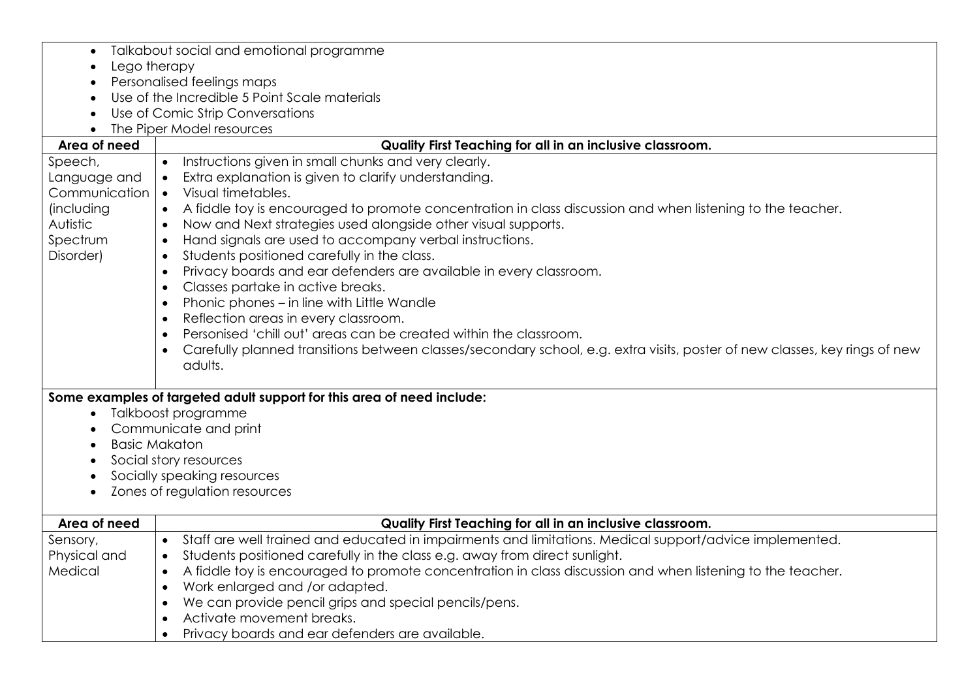| $\bullet$                        | Talkabout social and emotional programme                                                                                   |  |
|----------------------------------|----------------------------------------------------------------------------------------------------------------------------|--|
| Lego therapy<br>$\bullet$        |                                                                                                                            |  |
| Personalised feelings maps       |                                                                                                                            |  |
|                                  | Use of the Incredible 5 Point Scale materials                                                                              |  |
| Use of Comic Strip Conversations |                                                                                                                            |  |
|                                  | The Piper Model resources                                                                                                  |  |
| Area of need                     | Quality First Teaching for all in an inclusive classroom.                                                                  |  |
| Speech,                          | Instructions given in small chunks and very clearly.                                                                       |  |
| Language and                     | Extra explanation is given to clarify understanding.<br>$\bullet$                                                          |  |
| Communication                    | Visual timetables.<br>$\bullet$                                                                                            |  |
| (including                       | A fiddle toy is encouraged to promote concentration in class discussion and when listening to the teacher.<br>$\bullet$    |  |
| Autistic                         | Now and Next strategies used alongside other visual supports.<br>$\bullet$                                                 |  |
| Spectrum                         | Hand signals are used to accompany verbal instructions.<br>$\bullet$                                                       |  |
| Disorder)                        | Students positioned carefully in the class.<br>$\bullet$                                                                   |  |
|                                  | Privacy boards and ear defenders are available in every classroom.<br>$\bullet$                                            |  |
|                                  | Classes partake in active breaks.<br>$\bullet$                                                                             |  |
|                                  | Phonic phones - in line with Little Wandle<br>$\bullet$                                                                    |  |
|                                  | Reflection areas in every classroom.<br>$\bullet$                                                                          |  |
|                                  | Personised 'chill out' areas can be created within the classroom.<br>$\bullet$                                             |  |
|                                  | Carefully planned transitions between classes/secondary school, e.g. extra visits, poster of new classes, key rings of new |  |
|                                  | adults.                                                                                                                    |  |
|                                  |                                                                                                                            |  |
|                                  | Some examples of targeted adult support for this area of need include:                                                     |  |
| $\bullet$                        | Talkboost programme                                                                                                        |  |
| Communicate and print            |                                                                                                                            |  |
| <b>Basic Makaton</b>             |                                                                                                                            |  |
| Social story resources           |                                                                                                                            |  |
| Socially speaking resources      |                                                                                                                            |  |
| $\bullet$                        | Zones of regulation resources                                                                                              |  |
|                                  |                                                                                                                            |  |
| Area of need                     | Quality First Teaching for all in an inclusive classroom.                                                                  |  |
| Sensory,                         | Staff are well trained and educated in impairments and limitations. Medical support/advice implemented.<br>$\bullet$       |  |
| Physical and                     | Students positioned carefully in the class e.g. away from direct sunlight.<br>$\bullet$                                    |  |
| Medical                          | A fiddle toy is encouraged to promote concentration in class discussion and when listening to the teacher.<br>$\bullet$    |  |
|                                  | Work enlarged and /or adapted.<br>$\bullet$                                                                                |  |
|                                  | We can provide pencil grips and special pencils/pens.<br>$\bullet$                                                         |  |
|                                  | Activate movement breaks.                                                                                                  |  |
|                                  | Privacy boards and ear defenders are available.<br>$\bullet$                                                               |  |